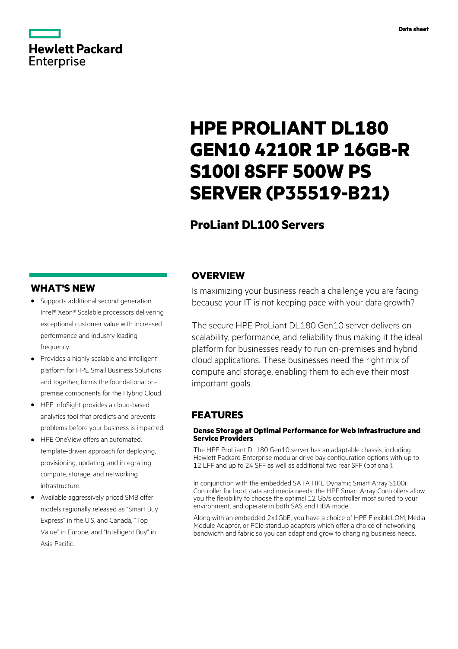## **Hewlett Packard** Enterprise

# **HPE PROLIANT DL180 GEN10 4210R 1P 16GB-R S100I 8SFF 500W PS SERVER (P35519-B21)**

## **ProLiant DL100 Servers**

## **WHAT'S NEW**

- **·** Supports additional second generation Intel® Xeon® Scalable processors delivering exceptional customer value with increased performance and industry leading frequency.
- **·** Provides a highly scalable and intelligent platform for HPE Small Business Solutions and together, forms the foundational onpremise components for the Hybrid Cloud.
- **·** HPE InfoSight provides a cloud-based analytics tool that predicts and prevents problems before your business is impacted.
- **·** HPE OneView offers an automated, template-driven approach for deploying, provisioning, updating, and integrating compute, storage, and networking infrastructure.
- **·** Available aggressively priced SMB offer models regionally released as "Smart Buy Express" in the U.S. and Canada, "Top Value" in Europe, and "Intelligent Buy" in Asia Pacific.

## **OVERVIEW**

Is maximizing your business reach a challenge you are facing because your IT is not keeping pace with your data growth?

The secure HPE ProLiant DL180 Gen10 server delivers on scalability, performance, and reliability thus making it the ideal platform for businesses ready to run on-premises and hybrid cloud applications. These businesses need the right mix of compute and storage, enabling them to achieve their most important goals.

## **FEATURES**

#### **Dense Storage at Optimal Performance for Web Infrastructure and Service Providers**

The HPE ProLiant DL180 Gen10 server has an adaptable chassis, including Hewlett Packard Enterprise modular drive bay configuration options with up to 12 LFF and up to 24 SFF as well as additional two rear SFF (optional).

In conjunction with the embedded SATA HPE Dynamic Smart Array S100i Controller for boot, data and media needs, the HPE Smart Array Controllers allow you the flexibility to choose the optimal 12 Gb/s controller most suited to your environment, and operate in both SAS and HBA mode.

Along with an embedded 2x1GbE, you have a choice of HPE FlexibleLOM, Media Module Adapter, or PCIe standup adapters which offer a choice of networking bandwidth and fabric so you can adapt and grow to changing business needs.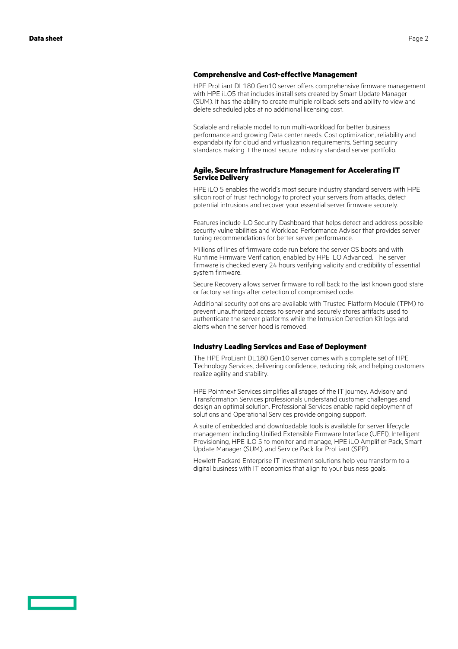#### **Comprehensive and Cost-effective Management**

HPE ProLiant DL180 Gen10 server offers comprehensive firmware management with HPE iLO5 that includes install sets created by Smart Update Manager (SUM). It has the ability to create multiple rollback sets and ability to view and delete scheduled jobs at no additional licensing cost.

Scalable and reliable model to run multi-workload for better business performance and growing Data center needs. Cost optimization, reliability and expandability for cloud and virtualization requirements. Setting security standards making it the most secure industry standard server portfolio.

#### **Agile, Secure Infrastructure Management for Accelerating IT Service Delivery**

HPE iLO 5 enables the world's most secure industry standard servers with HPE silicon root of trust technology to protect your servers from attacks, detect potential intrusions and recover your essential server firmware securely.

Features include iLO Security Dashboard that helps detect and address possible security vulnerabilities and Workload Performance Advisor that provides server tuning recommendations for better server performance.

Millions of lines of firmware code run before the server OS boots and with Runtime Firmware Verification, enabled by HPE iLO Advanced. The server firmware is checked every 24 hours verifying validity and credibility of essential system firmware.

Secure Recovery allows server firmware to roll back to the last known good state or factory settings after detection of compromised code.

Additional security options are available with Trusted Platform Module (TPM) to prevent unauthorized access to server and securely stores artifacts used to authenticate the server platforms while the Intrusion Detection Kit logs and alerts when the server hood is removed.

#### **Industry Leading Services and Ease of Deployment**

The HPE ProLiant DL180 Gen10 server comes with a complete set of HPE Technology Services, delivering confidence, reducing risk, and helping customers realize agility and stability.

HPE Pointnext Services simplifies all stages of the IT journey. Advisory and Transformation Services professionals understand customer challenges and design an optimal solution. Professional Services enable rapid deployment of solutions and Operational Services provide ongoing support.

A suite of embedded and downloadable tools is available for server lifecycle management including Unified Extensible Firmware Interface (UEFI), Intelligent Provisioning, HPE iLO 5 to monitor and manage, HPE iLO Amplifier Pack, Smart Update Manager (SUM), and Service Pack for ProLiant (SPP).

Hewlett Packard Enterprise IT investment solutions help you transform to a digital business with IT economics that align to your business goals.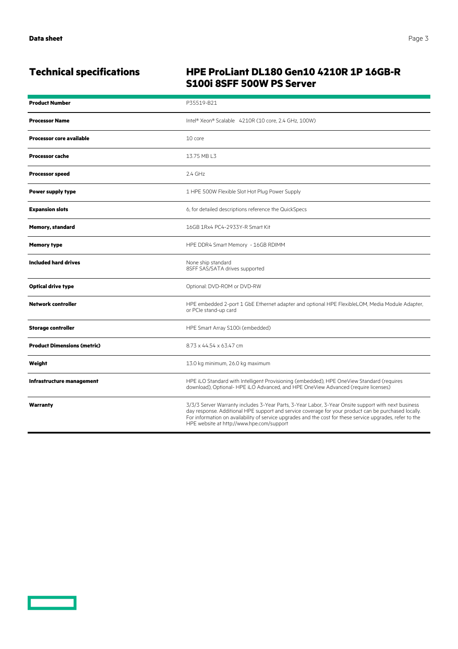<u>and the second part of the second part of the second part of the second part of the second part of the second part of the second part of the second part of the second part of the second part of the second part of the seco</u>

## **Technical specifications HPE ProLiant DL180 Gen10 4210R 1P 16GB-R S100i 8SFF 500W PS Server**

| <b>Product Number</b>              | P35519-B21                                                                                                                                                                                                                                                                                                                                                            |
|------------------------------------|-----------------------------------------------------------------------------------------------------------------------------------------------------------------------------------------------------------------------------------------------------------------------------------------------------------------------------------------------------------------------|
| <b>Processor Name</b>              | Intel® Xeon® Scalable 4210R (10 core, 2.4 GHz, 100W)                                                                                                                                                                                                                                                                                                                  |
| <b>Processor core available</b>    | 10 core                                                                                                                                                                                                                                                                                                                                                               |
| <b>Processor cache</b>             | 13.75 MB L3                                                                                                                                                                                                                                                                                                                                                           |
| <b>Processor speed</b>             | $2.4$ GHz                                                                                                                                                                                                                                                                                                                                                             |
| <b>Power supply type</b>           | 1 HPE 500W Flexible Slot Hot Plug Power Supply                                                                                                                                                                                                                                                                                                                        |
| <b>Expansion slots</b>             | 6, for detailed descriptions reference the QuickSpecs                                                                                                                                                                                                                                                                                                                 |
| <b>Memory, standard</b>            | 16GB 1Rx4 PC4-2933Y-R Smart Kit                                                                                                                                                                                                                                                                                                                                       |
| <b>Memory type</b>                 | HPE DDR4 Smart Memory - 16GB RDIMM                                                                                                                                                                                                                                                                                                                                    |
| <b>Included hard drives</b>        | None ship standard<br>8SFF SAS/SATA drives supported                                                                                                                                                                                                                                                                                                                  |
| <b>Optical drive type</b>          | Optional: DVD-ROM or DVD-RW                                                                                                                                                                                                                                                                                                                                           |
| <b>Network controller</b>          | HPE embedded 2-port 1 GbE Ethernet adapter and optional HPE FlexibleLOM, Media Module Adapter,<br>or PCIe stand-up card                                                                                                                                                                                                                                               |
| <b>Storage controller</b>          | HPE Smart Array S100i (embedded)                                                                                                                                                                                                                                                                                                                                      |
| <b>Product Dimensions (metric)</b> | 8.73 x 44.54 x 63.47 cm                                                                                                                                                                                                                                                                                                                                               |
| Weight                             | 13.0 kg minimum, 26.0 kg maximum                                                                                                                                                                                                                                                                                                                                      |
| Infrastructure management          | HPE iLO Standard with Intelligent Provisioning (embedded), HPE OneView Standard (requires<br>download), Optional-HPE iLO Advanced, and HPE OneView Advanced (require licenses)                                                                                                                                                                                        |
| Warranty                           | 3/3/3 Server Warranty includes 3-Year Parts, 3-Year Labor, 3-Year Onsite support with next business<br>day response. Additional HPE support and service coverage for your product can be purchased locally.<br>For information on availability of service upgrades and the cost for these service upgrades, refer to the<br>HPE website at http://www.hpe.com/support |